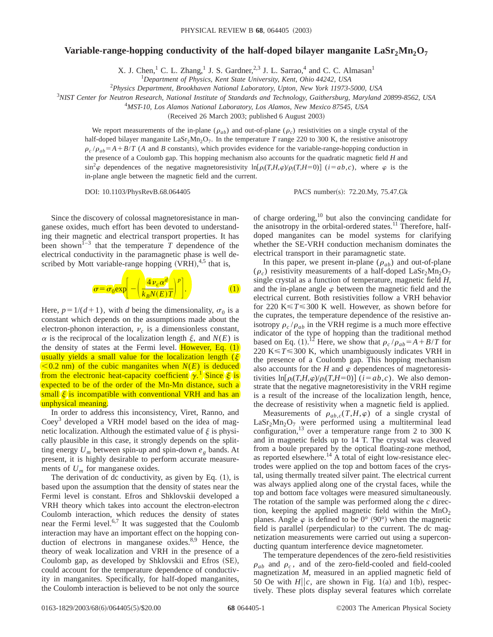## Variable-range-hopping conductivity of the half-doped bilayer manganite  $\text{LaSr}_2\text{Mn}_2\text{O}_7$

X. J. Chen,<sup>1</sup> C. L. Zhang,<sup>1</sup> J. S. Gardner,<sup>2,3</sup> J. L. Sarrao,<sup>4</sup> and C. C. Almasan<sup>1</sup>

1 *Department of Physics, Kent State University, Kent, Ohio 44242, USA*

2 *Physics Department, Brookhaven National Laboratory, Upton, New York 11973-5000, USA*

3 *NIST Center for Neutron Research, National Institute of Standards and Technology, Gaithersburg, Maryland 20899-8562, USA*

4 *MST-10, Los Alamos National Laboratory, Los Alamos, New Mexico 87545, USA*

(Received 26 March 2003; published 6 August 2003)

We report measurements of the in-plane ( $\rho_{ab}$ ) and out-of-plane ( $\rho_c$ ) resistivities on a single crystal of the half-doped bilayer manganite LaSr<sub>2</sub>Mn<sub>2</sub>O<sub>7</sub>. In the temperature *T* range 220 to 300 K, the resistive anisotropy  $\rho_c$  / $\rho_{ab}$ =A+B/*T* (*A* and *B* constants), which provides evidence for the variable-range-hopping conduction in the presence of a Coulomb gap. This hopping mechanism also accounts for the quadratic magnetic field *H* and  $\sin^2 \varphi$  dependences of the negative magnetoresistivity  $\ln[\rho_i(T,H,\varphi)/\rho_i(T,H=0)]$  (*i*=*ab*,*c*), where  $\varphi$  is the in-plane angle between the magnetic field and the current.

DOI: 10.1103/PhysRevB.68.064405 PACS number(s): 72.20.My, 75.47.Gk

Since the discovery of colossal magnetoresistance in manganese oxides, much effort has been devoted to understanding their magnetic and electrical transport properties. It has been shown<sup> $I<sub>-3</sub>$  that the temperature *T* dependence of the</sup> electrical conductivity in the paramagnetic phase is well described by Mott variable-range hopping  $(VRH)$ ,<sup>4,5</sup> that is,



Here,  $p=1/(d+1)$ , with *d* being the dimensionality,  $\sigma_0$  is a constant which depends on the assumptions made about the electron-phonon interaction,  $\nu_c$  is a dimensionless constant,  $\alpha$  is the reciprocal of the localization length  $\xi$ , and  $N(E)$  is the density of states at the Fermi level. **However**, Eq.  $(1)$ usually yields a small value for the localization length  $(\xi)$  $\leq$  0.2 nm) of the cubic manganites when *N(E)* is deduced from the electronic heat-capacity coefficient  $\gamma$ <sup>1</sup> Since  $\xi$  is expected to be of the order of the Mn-Mn distance, such a small  $\xi$  is incompatible with conventional VRH and has an unphysical meaning.

In order to address this inconsistency, Viret, Ranno, and  $Coey<sup>3</sup>$  developed a VRH model based on the idea of magnetic localization. Although the estimated value of  $\xi$  is physically plausible in this case, it strongly depends on the splitting energy  $U_m$  between spin-up and spin-down  $e_g$  bands. At present, it is highly desirable to perform accurate measurements of  $U_m$  for manganese oxides.

The derivation of dc conductivity, as given by Eq.  $(1)$ , is based upon the assumption that the density of states near the Fermi level is constant. Efros and Shklovskii developed a VRH theory which takes into account the electron-electron Coulomb interaction, which reduces the density of states near the Fermi level.6,7 It was suggested that the Coulomb interaction may have an important effect on the hopping conduction of electrons in manganese oxides. $8,9$  Hence, the theory of weak localization and VRH in the presence of a Coulomb gap, as developed by Shklovskii and Efros (SE), could account for the temperature dependence of conductivity in manganites. Specifically, for half-doped manganites, the Coulomb interaction is believed to be not only the source of charge ordering,10 but also the convincing candidate for the anisotropy in the orbital-ordered states.<sup>11</sup> Therefore, halfdoped manganites can be model systems for clarifying whether the SE-VRH conduction mechanism dominates the electrical transport in their paramagnetic state.

In this paper, we present in-plane  $(\rho_{ab})$  and out-of-plane  $(\rho_c)$  resistivity measurements of a half-doped LaSr<sub>2</sub>Mn<sub>2</sub>O<sub>7</sub> single crystal as a function of temperature, magnetic field *H*, and the in-plane angle  $\varphi$  between the magnetic field and the electrical current. Both resistivities follow a VRH behavior for 220 K $\leq$  *T* $\leq$  300 K well. However, as shown before for the cuprates, the temperature dependence of the resistive anisotropy  $\rho_c / \rho_{ab}$  in the VRH regime is a much more effective indicator of the type of hopping than the traditional method based on Eq. (1).<sup>12</sup> Here, we show that  $\rho_c / \rho_{ab} = A + B/T$  for 220 K $\leq$  *T* $\leq$  300 K, which unambiguously indicates VRH in the presence of a Coulomb gap. This hopping mechanism also accounts for the *H* and  $\varphi$  dependences of magnetoresistivities  $\ln[\rho_i(T,H,\varphi)/\rho_i(T,H=0)]$  (*i*=*ab*,*c*). We also demonstrate that the negative magnetoresistivity in the VRH regime is a result of the increase of the localization length, hence, the decrease of resistivity when a magnetic field is applied.

Measurements of  $\rho_{ab,c}(T,H,\varphi)$  of a single crystal of  $\text{LaSr}_2\text{Mn}_2\text{O}_7$  were performed using a multiterminal lead configuration,13 over a temperature range from 2 to 300 K and in magnetic fields up to 14 T. The crystal was cleaved from a boule prepared by the optical floating-zone method, as reported elsewhere.14 A total of eight low-resistance electrodes were applied on the top and bottom faces of the crystal, using thermally treated silver paint. The electrical current was always applied along one of the crystal faces, while the top and bottom face voltages were measured simultaneously. The rotation of the sample was performed along the *c* direction, keeping the applied magnetic field within the  $MnO<sub>2</sub>$ planes. Angle  $\varphi$  is defined to be  $0^{\circ}$  (90°) when the magnetic field is parallel (perpendicular) to the current. The dc magnetization measurements were carried out using a superconducting quantum interference device magnetometer.

The temperature dependences of the zero-field resistivities  $\rho_{ab}$  and  $\rho_c$ , and of the zero-field-cooled and field-cooled magnetization *M*, measured in an applied magnetic field of 50 Oe with  $H||c$ , are shown in Fig. 1(a) and 1(b), respectively. These plots display several features which correlate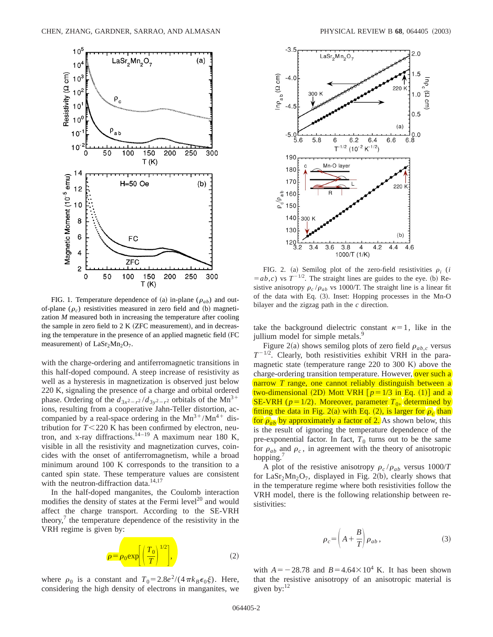

FIG. 1. Temperature dependence of (a) in-plane ( $\rho_{ab}$ ) and outof-plane  $(\rho_c)$  resistivities measured in zero field and (b) magnetization *M* measured both in increasing the temperature after cooling the sample in zero field to  $2 K (ZFC measurement)$ , and in decreasing the temperature in the presence of an applied magnetic field (FC measurement) of  $\text{LaSr}_2\text{Mn}_2\text{O}_7$ .

with the charge-ordering and antiferromagnetic transitions in this half-doped compound. A steep increase of resistivity as well as a hysteresis in magnetization is observed just below 220 K, signaling the presence of a charge and orbital ordered phase. Ordering of the  $d_{3x^2-r^2}/d_{3y^2-r^2}$  orbitals of the Mn<sup>3+</sup> ions, resulting from a cooperative Jahn-Teller distortion, accompanied by a real-space ordering in the  $Mn^{3+}/Mn^{4+}$  distribution for  $T < 220$  K has been confirmed by electron, neutron, and x-ray diffractions.<sup>14-19</sup> A maximum near 180 K, visible in all the resistivity and magnetization curves, coincides with the onset of antiferromagnetism, while a broad minimum around 100 K corresponds to the transition to a canted spin state. These temperature values are consistent with the neutron-diffraction data. $14,17$ 

In the half-doped manganites, the Coulomb interaction modifies the density of states at the Fermi level<sup>20</sup> and would affect the charge transport. According to the SE-VRH theory, $\theta$  the temperature dependence of the resistivity in the VRH regime is given by:



where  $\rho_0$  is a constant and  $T_0 = 2.8e^2/(4\pi k_B \epsilon_0 \xi)$ . Here, considering the high density of electrons in manganites, we



FIG. 2. (a) Semilog plot of the zero-field resistivities  $\rho_i$  (*i*  $(a=b,c)$  vs  $T^{-1/2}$ . The straight lines are guides to the eye. (b) Resistive anisotropy  $\rho_c / \rho_{ab}$  vs 1000/T. The straight line is a linear fit of the data with Eq. (3). Inset: Hopping processes in the Mn-O bilayer and the zigzag path in the *c* direction.

take the background dielectric constant  $\kappa=1$ , like in the jullium model for simple metals.<sup>9</sup>

Figure 2(a) shows semilog plots of zero field  $\rho_{ab,c}$  versus  $T^{-1/2}$ . Clearly, both resistivities exhibit VRH in the paramagnetic state (temperature range 220 to 300 K) above the charge-ordering transition temperature. However, over such a narrow *T* range, one cannot reliably distinguish between a two-dimensional (2D) Mott VRH  $[p=1/3$  in Eq. (1)<sup> $]$ </sup> and a SE-VRH ( $p=1/2$ ). Moreover, parameter  $T_0$ , determined by fitting the data in Fig. 2(a) with Eq. (2), is larger for  $\rho_c$  than for  $\rho_{ab}$  by approximately a factor of 2. As shown below, this is the result of ignoring the temperature dependence of the pre-exponential factor. In fact,  $T_0$  turns out to be the same for  $\rho_{ab}$  and  $\rho_c$ , in agreement with the theory of anisotropic hopping.

A plot of the resistive anisotropy  $\rho_c / \rho_{ab}$  versus 1000/*T* for LaSr<sub>2</sub>Mn<sub>2</sub>O<sub>7</sub>, displayed in Fig. 2(b), clearly shows that in the temperature regime where both resistivities follow the VRH model, there is the following relationship between resistivities:

$$
\rho_c = \left(A + \frac{B}{T}\right)\rho_{ab},\tag{3}
$$

with  $A = -28.78$  and  $B = 4.64 \times 10^4$  K. It has been shown that the resistive anisotropy of an anisotropic material is given by: $^{12}$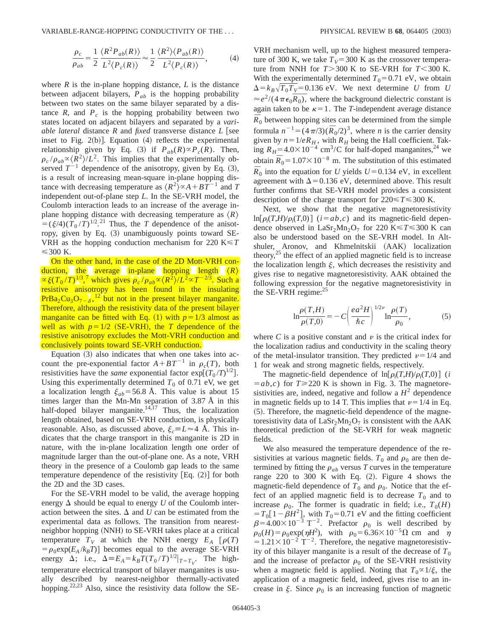VARIABLE-RANGE-HOPPING CONDUCTIVITY OF THE . . . PHYSICAL REVIEW B **68**, 064405 ~2003!

$$
\frac{\rho_c}{\rho_{ab}} = \frac{1}{2} \frac{\langle R^2 P_{ab}(R) \rangle}{L^2 \langle P_c(R) \rangle} \approx \frac{1}{2} \frac{\langle R^2 \rangle \langle P_{ab}(R) \rangle}{L^2 \langle P_c(R) \rangle},\tag{4}
$$

where  $R$  is the in-plane hopping distance,  $L$  is the distance between adjacent bilayers, *Pab* is the hopping probability between two states on the same bilayer separated by a distance  $R$ , and  $P_c$  is the hopping probability between two states located on adjacent bilayers and separated by a *variable lateral* distance *R* and *fixed* transverse distance *L* [see inset to Fig. 2(b)]. Equation  $(4)$  reflects the experimental relationship given by Eq. (3) if  $P_{ab}(R) \propto P_c(R)$ . Then,  $\rho_c / \rho_{ab} \propto \langle R^2 \rangle / L^2$ . This implies that the experimentally observed  $T^{-1}$  dependence of the anisotropy, given by Eq.  $(3)$ , is a result of increasing mean-square in-plane hopping distance with decreasing temperature as  $\langle R^2 \rangle \propto A + BT^{-1}$  and *T* independent out-of-plane step *L*. In the SE-VRH model, the Coulomb interaction leads to an increase of the average inplane hopping distance with decreasing temperature as  $\langle R \rangle$  $\vec{J} = (\xi/4)(T_0/T)^{1/2}$ .<sup>21</sup> Thus, the *T* dependence of the anisotropy, given by Eq.  $(3)$  unambiguously points toward SE-VRH as the hopping conduction mechanism for 220 K<*T*  $\leq$  300 K.

On the other hand, in the case of the 2D Mott-VRH conduction, the average in-plane hopping length  $\langle R \rangle$  $\propto \frac{\xi(T_0/T)^{1/3},^7}{2}$  which gives  $\rho_c / \rho_{ab} \propto \langle R^2 \rangle / L^2 \propto T^{-2/3}$ . Such a resistive anisotropy has been found in the insulating  $PrBa_2Cu_3O_{7-\delta}$ ,  $^{12}$  but not in the present bilayer manganite. Therefore, although the resistivity data of the present bilayer manganite can be fitted with Eq.  $(1)$  with  $p=1/3$  almost as well as with  $p=1/2$  (SE-VRH), the *T* dependence of the resistive anisotropy excludes the Mott-VRH conduction and conclusively points toward SE-VRH conduction.

Equation  $(3)$  also indicates that when one takes into account the pre-exponential factor  $A + BT^{-1}$  in  $\rho_c(T)$ , both resistivities have the *same* exponential factor  $exp[(T_0/T)^{1/2}]$ . Using this experimentally determined  $T_0$  of 0.71 eV, we get a localization length  $\xi_{ab}$ =56.8 Å. This value is about 15 times larger than the Mn-Mn separation of 3.87 Å in this half-doped bilayer manganite. $14,17$  Thus, the localization length obtained, based on SE-VRH conduction, is physically reasonable. Also, as discussed above,  $\xi_c \equiv L \approx 4$  Å. This indicates that the charge transport in this manganite is 2D in nature, with the in-plane localization length one order of magnitude larger than the out-of-plane one. As a note, VRH theory in the presence of a Coulomb gap leads to the same temperature dependence of the resistivity  $[Eq. (2)]$  for both the 2D and the 3D cases.

For the SE-VRH model to be valid, the average hopping energy  $\Delta$  should be equal to energy *U* of the Coulomb interaction between the sites.  $\Delta$  and *U* can be estimated from the experimental data as follows. The transition from nearestneighbor hopping (NNH) to SE-VRH takes place at a critical temperature  $T_V$  at which the NNH energy  $E_A$   $[\rho(T)$  $= \rho_0 \exp(E_A / k_B T)$  becomes equal to the average SE-VRH energy  $\Delta$ ; i.e.,  $\Delta \equiv E_A = k_B T (T_0 / T)^{1/2} |_{T=T_V}$ . The hightemperature electrical transport of bilayer manganites is usually described by nearest-neighbor thermally-activated hopping.<sup>22,23</sup> Also, since the resistivity data follow the SE-

VRH mechanism well, up to the highest measured temperature of 300 K, we take  $T_V$ = 300 K as the crossover temperature from NNH for  $T > 300$  K to SE-VRH for  $T < 300$  K. With the experimentally determined  $T_0$ =0.71 eV, we obtain  $\Delta = k_B \sqrt{T_0 T_V} = 0.136$  eV. We next determine *U* from *U*  $\approx e^2/(4\pi\epsilon_0\overline{R_0})$ , where the background dielectric constant is again taken to be  $\kappa=1$ . The *T*-independent average distance  $\overline{R}_0$  between hopping sites can be determined from the simple formula  $n^{-1} = (4\pi/3)(\bar{R}_0/2)^3$ , where *n* is the carrier density given by  $n=1/eR_H$ , with  $R_H$  being the Hall coefficient. Taking  $R_H$ =4.0×10<sup>-4</sup> cm<sup>3</sup>/C for half-doped manganites,<sup>24</sup> we obtain  $\bar{R}_0 = 1.07 \times 10^{-8}$  m. The substitution of this estimated  $\overline{R}_0$  into the equation for *U* yields  $U=0.134$  eV, in excellent agreement with  $\Delta$ =0.136 eV, determined above. This result further confirms that SE-VRH model provides a consistent description of the charge transport for  $220 \le T \le 300$  K.

Next, we show that the negative magnetoresistivity  $\ln[\rho_i(T,H)/\rho_i(T,0)]$  (*i*=*ab*,*c*) and its magnetic-field dependence observed in LaSr<sub>2</sub>Mn<sub>2</sub>O<sub>7</sub> for 220 K  $\leq T \leq 300$  K can also be understood based on the SE-VRH model. In Altshuler, Aronov, and Khmelnitskii (AAK) localization theory, $25$  the effect of an applied magnetic field is to increase the localization length  $\xi$ , which decreases the resistivity and gives rise to negative magnetoresistivity. AAK obtained the following expression for the negative magnetoresistivity in the SE-VRH regime: $25$ 

$$
\ln \frac{\rho(T,H)}{\rho(T,0)} = -C \left( \frac{ea^2 H}{\hbar c} \right)^{1/2\nu} \ln \frac{\rho(T)}{\rho_0},\tag{5}
$$

where C is a positive constant and  $\nu$  is the critical index for the localization radius and conductivity in the scaling theory of the metal-insulator transition. They predicted  $\nu=1/4$  and 1 for weak and strong magnetic fields, respectively.

The magnetic-field dependence of  $\ln[\rho_i(T,H)/\rho_i(T,0)]$  (*i*  $(a,b,c)$  for  $T \ge 220$  K is shown in Fig. 3. The magnetoresistivities are, indeed, negative and follow a  $H^2$  dependence in magnetic fields up to 14 T. This implies that  $\nu=1/4$  in Eq.  $(5)$ . Therefore, the magnetic-field dependence of the magnetoresistivity data of  $\text{LaSr}_2\text{Mn}_2\text{O}_7$  is consistent with the AAK theoretical prediction of the SE-VRH for weak magnetic fields.

We also measured the temperature dependence of the resistivities at various magnetic fields.  $T_0$  and  $\rho_0$  are then determined by fitting the  $\rho_{ab}$  versus *T* curves in the temperature range 220 to 300 K with Eq.  $(2)$ . Figure 4 shows the magnetic-field dependence of  $T_0$  and  $\rho_0$ . Notice that the effect of an applied magnetic field is to decrease  $T_0$  and to increase  $\rho_0$ . The former is quadratic in field; i.e.,  $T_0(H)$  $T_0$ [1- $\beta$ *H*<sup>2</sup>], with  $T_0$ =0.71 eV and the fitting coefficient  $\beta = 4.00 \times 10^{-3} \text{ T}^{-2}$ . Prefactor  $\rho_0$  is well described by  $\rho_0(H) = \rho_0 \exp(\eta H^2)$ , with  $\rho_0 = 6.36 \times 10^{-5} \Omega$  cm and  $\eta$  $=1.21\times10^{-2}$  T<sup>-2</sup>. Therefore, the negative magnetoresistivity of this bilayer manganite is a result of the decrease of  $T_0$ and the increase of prefactor  $\rho_0$  of the SE-VRH resistivity when a magnetic field is applied. Noting that  $T_0 \propto 1/\xi$ , the application of a magnetic field, indeed, gives rise to an increase in  $\xi$ . Since  $\rho_0$  is an increasing function of magnetic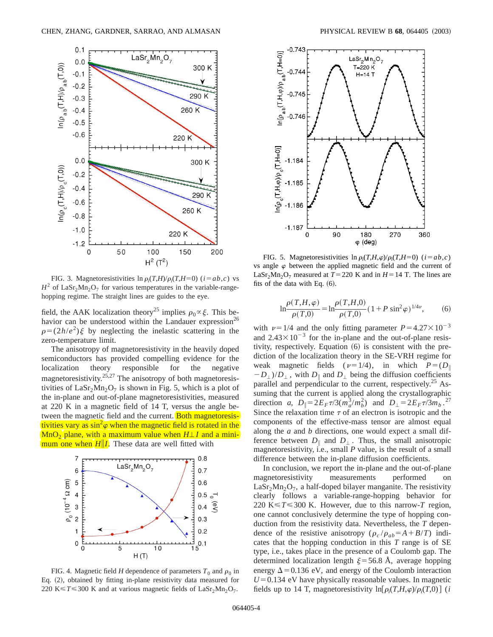

FIG. 3. Magnetoresistivities  $\ln \rho_i(T,H)/\rho_i(T,H=0)$  ( $i = ab, c$ ) vs  $H^2$  of LaSr<sub>2</sub>Mn<sub>2</sub>O<sub>7</sub> for various temperatures in the variable-rangehopping regime. The straight lines are guides to the eye.

field, the AAK localization theory<sup>25</sup> implies  $\rho_0 \propto \xi$ . This behavior can be understood within the Landauer expression<sup>26</sup>  $\rho=(2h/e^2)\xi$  by neglecting the inelastic scattering in the zero-temperature limit.

The anisotropy of magnetoresistivity in the heavily doped semiconductors has provided compelling evidence for the localization theory responsible for the negative magnetoresistivity.<sup>25,27</sup> The anisotropy of both magnetoresistivities of  $\text{LaSr}_2\text{Mn}_2\text{O}_7$  is shown in Fig. 5, which is a plot of the in-plane and out-of-plane magnetoresistivities, measured at 220 K in a magnetic field of 14 T, versus the angle between the magnetic field and the current. Both magnetoresistivities vary as  $\sin^2\varphi$  when the magnetic field is rotated in the  $MnO<sub>2</sub>$  plane, with a maximum value when  $H \perp I$  and a minimum one when  $H||I|$ . These data are well fitted with



FIG. 4. Magnetic field *H* dependence of parameters  $T_0$  and  $\rho_0$  in Eq. (2), obtained by fitting in-plane resistivity data measured for 220 K $\leq$  *T* $\leq$  300 K and at various magnetic fields of LaSr<sub>2</sub>Mn<sub>2</sub>O<sub>7</sub>.



FIG. 5. Magnetoresistivities  $\ln \rho_i(T,H,\varphi)/\rho_i(T,H=0)$  ( $i=ab,c$ ) vs angle  $\varphi$  between the applied magnetic field and the current of LaSr<sub>2</sub>Mn<sub>2</sub>O<sub>7</sub> measured at  $T=220$  K and in  $H=14$  T. The lines are fits of the data with Eq.  $(6)$ .

$$
\ln \frac{\rho(T, H, \varphi)}{\rho(T, 0)} = \ln \frac{\rho(T, H, 0)}{\rho(T, 0)} (1 + P \sin^2 \varphi)^{1/4\nu}, \qquad (6)
$$

with  $\nu=1/4$  and the only fitting parameter  $P=4.27\times10^{-3}$ and  $2.43\times10^{-3}$  for the in-plane and the out-of-plane resistivity, respectively. Equation  $(6)$  is consistent with the prediction of the localization theory in the SE-VRH regime for weak magnetic fields  $(\nu=1/4)$ , in which  $P=(D_{\parallel})$  $-D_{\perp}$ )/*D*<sub> $\perp$ </sub>, with *D*<sub>|</sub> and *D*<sub>|</sub> being the diffusion coefficients parallel and perpendicular to the current, respectively.<sup>25</sup> Assuming that the current is applied along the crystallographic direction *a*,  $D_{\parallel} = 2E_F \tau / 3(m_a^3/m_b^2)$  and  $D_{\perp} = 2E_F \tau / 3m_b$ .<sup>27</sup> Since the relaxation time  $\tau$  of an electron is isotropic and the components of the effective-mass tensor are almost equal along the *a* and *b* directions, one would expect a small difference between  $D_{\parallel}$  and  $D_{\perp}$ . Thus, the small anisotropic magnetoresistivity, i.e., small *P* value, is the result of a small difference between the in-plane diffusion coefficients.

In conclusion, we report the in-plane and the out-of-plane magnetoresistivity measurements performed on  $\text{LaSr}_2\text{Mn}_2\text{O}_7$ , a half-doped bilayer manganite. The resistivity clearly follows a variable-range-hopping behavior for 220 K $\leq$  *T* $\leq$  300 K. However, due to this narrow-*T* region, one cannot conclusively determine the type of hopping conduction from the resistivity data. Nevertheless, the *T* dependence of the resistive anisotropy  $(\rho_c / \rho_{ab} = A + B/T)$  indicates that the hopping conduction in this *T* range is of SE type, i.e., takes place in the presence of a Coulomb gap. The determined localization length  $\xi$ =56.8 Å, average hopping energy  $\Delta$  = 0.136 eV, and energy of the Coulomb interaction  $U=0.134$  eV have physically reasonable values. In magnetic fields up to 14 T, magnetoresistivity  $\ln[\rho_i(T,H,\varphi)/\rho_i(T,0)]$  (*i*